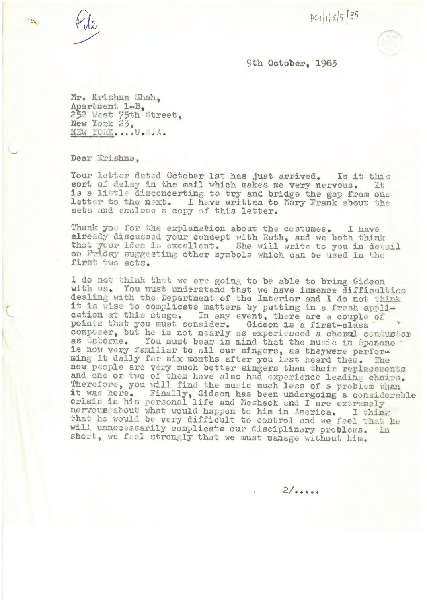File

 $pc116582$ 

9th October, 1963

Mr. Krishna Shah. Apartment 1-B, 252 West 75th Street. New York 23, NEW YORK....U.S.A.

Dear Krishna.

Your letter dated October 1st has just arrived. Is it this sort of delay in the mail which makes me very nervous. **Tt** is a little disconcerting to try and bridge the gap from one letter to the next. I have written to Mary Frank about the sets and enclose a copy of this letter.

Thank you for the explanation about the costumes. I have already discussed your concept with Ruth, and we both think that your idea is excellent. She will write to you in detail on Friday suggesting other symbols which can be used in the first two acts.

I do not think that we are going to be able to bring Gideon with us. You must understand that we have immense difficulties dealing with the Department of the Interior and I do not think it is wise to complicate matters by putting in a fresh application at this stage. In any event, there are a couple of points that you must consider. Gideon is a first-class<br>composer, but he is not nearly as experienced a chomal conductor<br>as Osborne. You must bear in mind that the music in Sponono is now very familiar to all our singers, as theywere performing it daily for six months after you lest heard then. The new people are very much better singers than their replacements and one or two of them have also had experience leading choirs. Therefore, you will find the music much less of a problem than it was here. Finally, Gideon has been undergoing a considerable<br>crisis in his personal life and Neshack and I are extremely nervous about what would happen to him in America. I think that he would be very difficult to control and we feel that he will unnecessarily complicate our disciplinary problems. In short, we feel strongly that we must manage without him.

 $2/......$